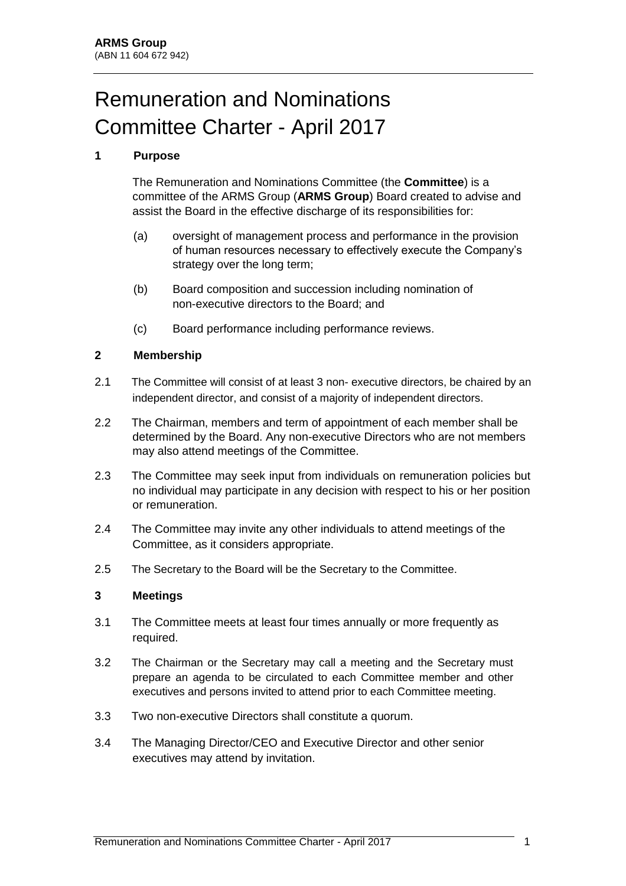# Remuneration and Nominations Committee Charter - April 2017

# **1 Purpose**

The Remuneration and Nominations Committee (the **Committee**) is a committee of the ARMS Group (**ARMS Group**) Board created to advise and assist the Board in the effective discharge of its responsibilities for:

- (a) oversight of management process and performance in the provision of human resources necessary to effectively execute the Company's strategy over the long term;
- (b) Board composition and succession including nomination of non-executive directors to the Board; and
- (c) Board performance including performance reviews.

# **2 Membership**

- 2.1 The Committee will consist of at least 3 non- executive directors, be chaired by an independent director, and consist of a majority of independent directors.
- 2.2 The Chairman, members and term of appointment of each member shall be determined by the Board. Any non-executive Directors who are not members may also attend meetings of the Committee.
- 2.3 The Committee may seek input from individuals on remuneration policies but no individual may participate in any decision with respect to his or her position or remuneration.
- 2.4 The Committee may invite any other individuals to attend meetings of the Committee, as it considers appropriate.
- 2.5 The Secretary to the Board will be the Secretary to the Committee.

# **3 Meetings**

- 3.1 The Committee meets at least four times annually or more frequently as required.
- 3.2 The Chairman or the Secretary may call a meeting and the Secretary must prepare an agenda to be circulated to each Committee member and other executives and persons invited to attend prior to each Committee meeting.
- 3.3 Two non-executive Directors shall constitute a quorum.
- 3.4 The Managing Director/CEO and Executive Director and other senior executives may attend by invitation.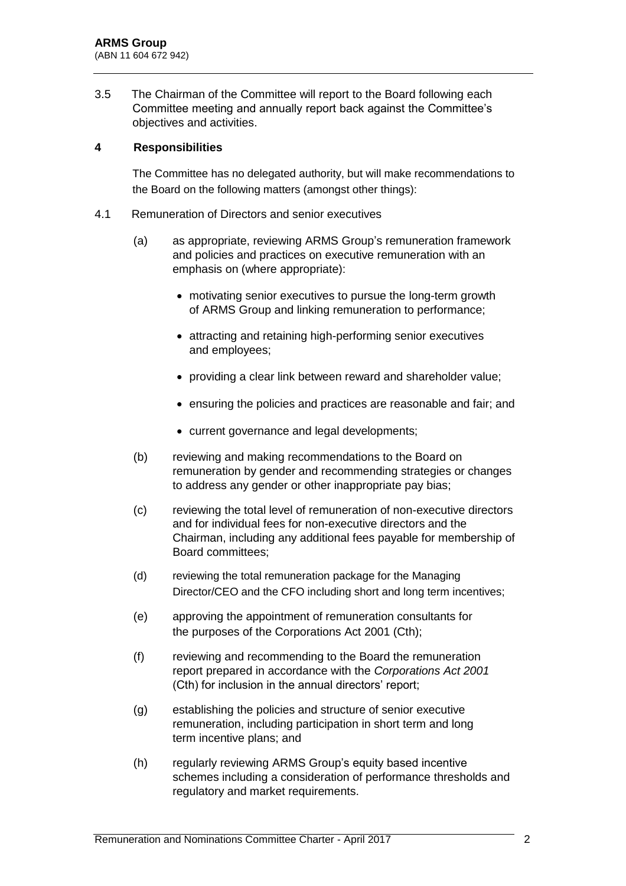3.5 The Chairman of the Committee will report to the Board following each Committee meeting and annually report back against the Committee's objectives and activities.

### **4 Responsibilities**

The Committee has no delegated authority, but will make recommendations to the Board on the following matters (amongst other things):

- 4.1 Remuneration of Directors and senior executives
	- (a) as appropriate, reviewing ARMS Group's remuneration framework and policies and practices on executive remuneration with an emphasis on (where appropriate):
		- motivating senior executives to pursue the long-term growth of ARMS Group and linking remuneration to performance;
		- attracting and retaining high-performing senior executives and employees;
		- providing a clear link between reward and shareholder value;
		- ensuring the policies and practices are reasonable and fair; and
		- current governance and legal developments;
	- (b) reviewing and making recommendations to the Board on remuneration by gender and recommending strategies or changes to address any gender or other inappropriate pay bias;
	- (c) reviewing the total level of remuneration of non-executive directors and for individual fees for non-executive directors and the Chairman, including any additional fees payable for membership of Board committees;
	- (d) reviewing the total remuneration package for the Managing Director/CEO and the CFO including short and long term incentives;
	- (e) approving the appointment of remuneration consultants for the purposes of the Corporations Act 2001 (Cth);
	- (f) reviewing and recommending to the Board the remuneration report prepared in accordance with the *Corporations Act 2001* (Cth) for inclusion in the annual directors' report;
	- (g) establishing the policies and structure of senior executive remuneration, including participation in short term and long term incentive plans; and
	- (h) regularly reviewing ARMS Group's equity based incentive schemes including a consideration of performance thresholds and regulatory and market requirements.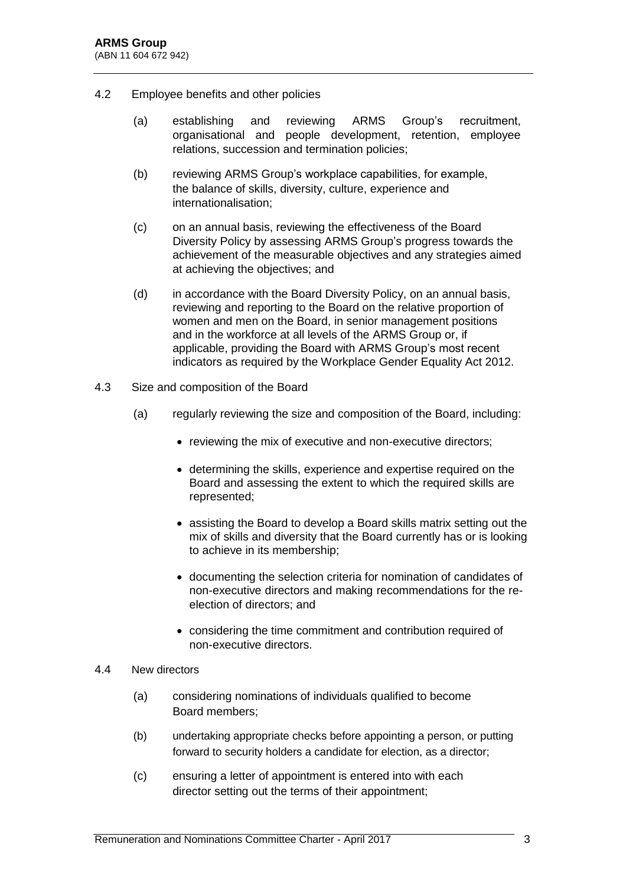- 4.2 Employee benefits and other policies
	- (a) establishing and reviewing ARMS Group's recruitment, organisational and people development, retention, employee relations, succession and termination policies;
	- (b) reviewing ARMS Group's workplace capabilities, for example, the balance of skills, diversity, culture, experience and internationalisation;
	- (c) on an annual basis, reviewing the effectiveness of the Board Diversity Policy by assessing ARMS Group's progress towards the achievement of the measurable objectives and any strategies aimed at achieving the objectives; and
	- (d) in accordance with the Board Diversity Policy, on an annual basis, reviewing and reporting to the Board on the relative proportion of women and men on the Board, in senior management positions and in the workforce at all levels of the ARMS Group or, if applicable, providing the Board with ARMS Group's most recent indicators as required by the Workplace Gender Equality Act 2012.
- 4.3 Size and composition of the Board
	- (a) regularly reviewing the size and composition of the Board, including:
		- reviewing the mix of executive and non-executive directors;
		- determining the skills, experience and expertise required on the Board and assessing the extent to which the required skills are represented;
		- assisting the Board to develop a Board skills matrix setting out the mix of skills and diversity that the Board currently has or is looking to achieve in its membership;
		- documenting the selection criteria for nomination of candidates of non-executive directors and making recommendations for the reelection of directors; and
		- considering the time commitment and contribution required of non-executive directors.
- 4.4 New directors
	- (a) considering nominations of individuals qualified to become Board members;
	- (b) undertaking appropriate checks before appointing a person, or putting forward to security holders a candidate for election, as a director;
	- (c) ensuring a letter of appointment is entered into with each director setting out the terms of their appointment;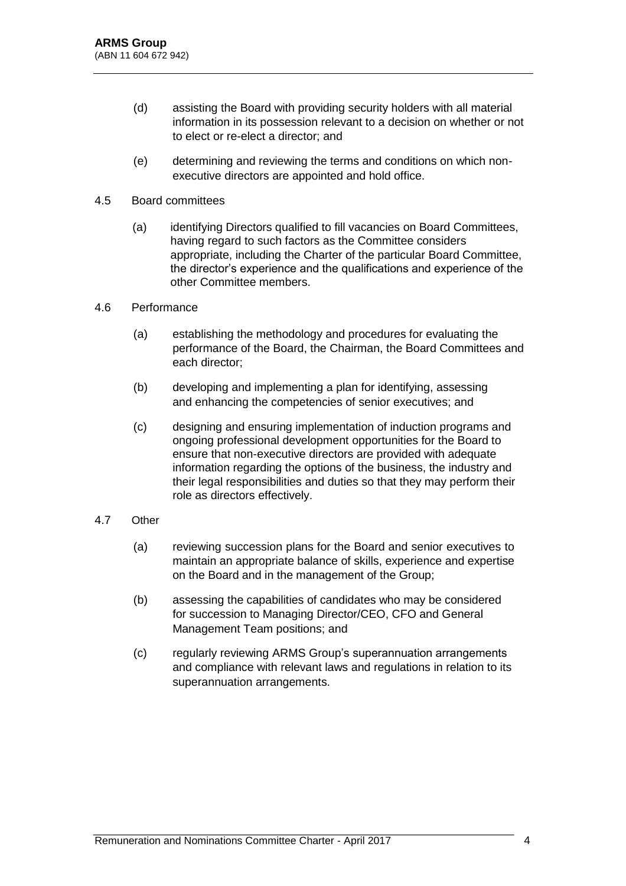- (d) assisting the Board with providing security holders with all material information in its possession relevant to a decision on whether or not to elect or re-elect a director; and
- (e) determining and reviewing the terms and conditions on which nonexecutive directors are appointed and hold office.

#### 4.5 Board committees

(a) identifying Directors qualified to fill vacancies on Board Committees, having regard to such factors as the Committee considers appropriate, including the Charter of the particular Board Committee, the director's experience and the qualifications and experience of the other Committee members.

#### 4.6 Performance

- (a) establishing the methodology and procedures for evaluating the performance of the Board, the Chairman, the Board Committees and each director;
- (b) developing and implementing a plan for identifying, assessing and enhancing the competencies of senior executives; and
- (c) designing and ensuring implementation of induction programs and ongoing professional development opportunities for the Board to ensure that non-executive directors are provided with adequate information regarding the options of the business, the industry and their legal responsibilities and duties so that they may perform their role as directors effectively.

# 4.7 Other

- (a) reviewing succession plans for the Board and senior executives to maintain an appropriate balance of skills, experience and expertise on the Board and in the management of the Group;
- (b) assessing the capabilities of candidates who may be considered for succession to Managing Director/CEO, CFO and General Management Team positions; and
- (c) regularly reviewing ARMS Group's superannuation arrangements and compliance with relevant laws and regulations in relation to its superannuation arrangements.